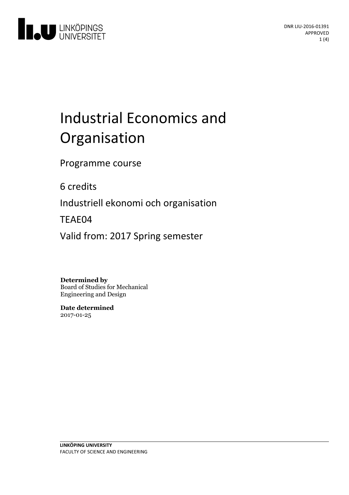

# Industrial Economics and Organisation

Programme course

6 credits

Industriell ekonomi och organisation

TEAE04

Valid from: 2017 Spring semester

**Determined by**

Board of Studies for Mechanical Engineering and Design

**Date determined** 2017-01-25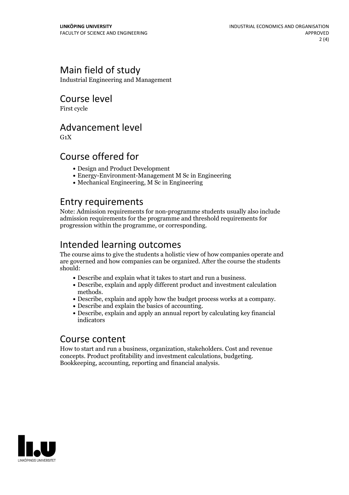## Main field of study

Industrial Engineering and Management

#### Course level

First cycle

#### Advancement level

 $G_1X$ 

#### Course offered for

- Design and Product Development
- Energy-Environment-Management M Sc in Engineering
- Mechanical Engineering, M Sc in Engineering

#### Entry requirements

Note: Admission requirements for non-programme students usually also include admission requirements for the programme and threshold requirements for progression within the programme, or corresponding.

# Intended learning outcomes

The course aims to give the students a holistic view of how companies operate and are governed and how companies can be organized. After the course the students should:

- 
- Describe and explain what it takes to start and run <sup>a</sup> business. Describe, explain and apply different product and investment calculation
- methods.<br>• Describe, explain and apply how the budget process works at a company.<br>• Describe and explain the basics of accounting.<br>• Describe, explain and apply an annual report by calculating key financial
- 
- indicators

#### Course content

How to start and run a business, organization, stakeholders. Cost and revenue concepts. Product profitability and investment calculations, budgeting. Bookkeeping, accounting, reporting and financial analysis.

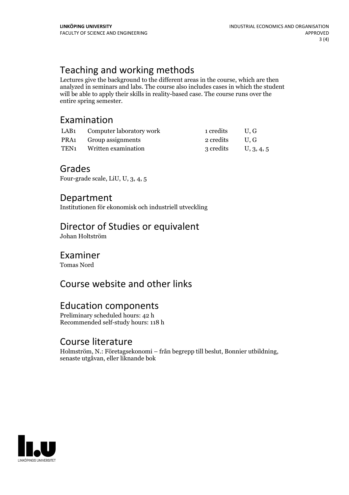# Teaching and working methods

Lectures give the background to the different areas in the course, which are then analyzed in seminars and labs. The course also includes cases in which the student will be able to apply their skills in reality-based case. The course runs over the entire spring semester.

### Examination

| LAB1 Computer laboratory work        | 1 credits              | $\cup$ . G |
|--------------------------------------|------------------------|------------|
| PRA1 Group assignments               | 2 credits U.G.         |            |
| TEN <sub>1</sub> Written examination | 3 credits U, $3, 4, 5$ |            |

#### Grades

Four-grade scale, LiU, U, 3, 4, 5

#### Department

Institutionen för ekonomisk och industriell utveckling

### Director of Studies or equivalent

Johan Holtström

#### Examiner

Tomas Nord

# Course website and other links

#### Education components

Preliminary scheduled hours: 42 h Recommended self-study hours: 118 h

#### Course literature

Holmström, N.: Företagsekonomi – från begrepp till beslut, Bonnier utbildning, senaste utgåvan, eller liknande bok